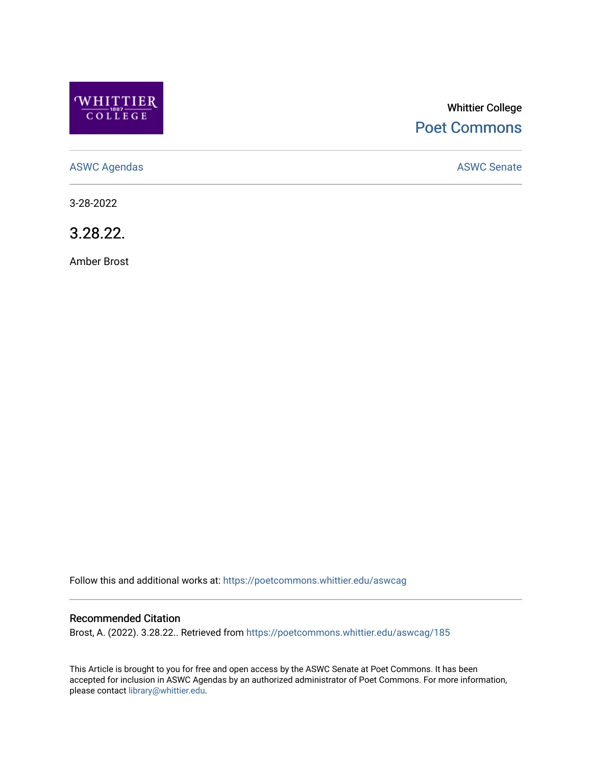

# Whittier College [Poet Commons](https://poetcommons.whittier.edu/)

[ASWC Agendas](https://poetcommons.whittier.edu/aswcag) **ASWC Senate** 

3-28-2022

3.28.22.

Amber Brost

Follow this and additional works at: [https://poetcommons.whittier.edu/aswcag](https://poetcommons.whittier.edu/aswcag?utm_source=poetcommons.whittier.edu%2Faswcag%2F185&utm_medium=PDF&utm_campaign=PDFCoverPages) 

## Recommended Citation

Brost, A. (2022). 3.28.22.. Retrieved from [https://poetcommons.whittier.edu/aswcag/185](https://poetcommons.whittier.edu/aswcag/185?utm_source=poetcommons.whittier.edu%2Faswcag%2F185&utm_medium=PDF&utm_campaign=PDFCoverPages) 

This Article is brought to you for free and open access by the ASWC Senate at Poet Commons. It has been accepted for inclusion in ASWC Agendas by an authorized administrator of Poet Commons. For more information, please contact [library@whittier.edu](mailto:library@whittier.edu).